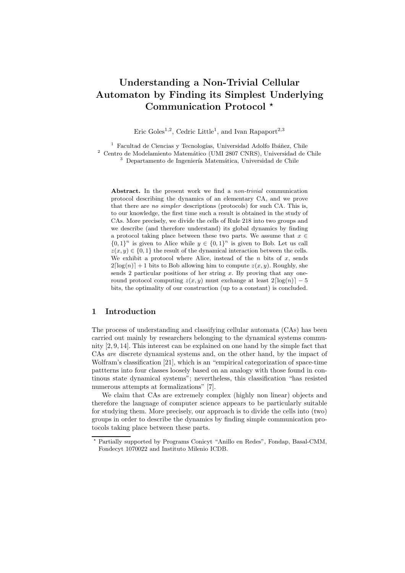# Understanding a Non-Trivial Cellular Automaton by Finding its Simplest Underlying Communication Protocol<sup>\*</sup>

Eric Goles<sup>1,2</sup>, Cedric Little<sup>1</sup>, and Ivan Rapaport<sup>2,3</sup>

 $^{\rm 1}$  Facultad de Ciencias y Tecnologías, Universidad Adolfo Ibáñez, Chile <sup>2</sup> Centro de Modelamiento Matemático (UMI 2807 CNRS), Universidad de Chile  $3$  Departamento de Ingeniería Matemática, Universidad de Chile

Abstract. In the present work we find a *non-trivial* communication protocol describing the dynamics of an elementary CA, and we prove that there are no simpler descriptions (protocols) for such CA. This is, to our knowledge, the first time such a result is obtained in the study of CAs. More precisely, we divide the cells of Rule 218 into two groups and we describe (and therefore understand) its global dynamics by finding a protocol taking place between these two parts. We assume that  $x \in$  ${0, 1}^n$  is given to Alice while  $y \in {0, 1}^n$  is given to Bob. Let us call  $z(x, y) \in \{0, 1\}$  the result of the dynamical interaction between the cells. We exhibit a protocol where Alice, instead of the  $n$  bits of  $x$ , sends  $2\lceil log(n)\rceil + 1$  bits to Bob allowing him to compute  $z(x, y)$ . Roughly, she sends 2 particular positions of her string x. By proving that any oneround protocol computing  $z(x,y)$  must exchange at least  $2\lceil \log(n) \rceil - 5$ bits, the optimality of our construction (up to a constant) is concluded.

# 1 Introduction

The process of understanding and classifying cellular automata (CAs) has been carried out mainly by researchers belonging to the dynamical systems community [2, 9, 14]. This interest can be explained on one hand by the simple fact that CAs are discrete dynamical systems and, on the other hand, by the impact of Wolfram's classification [21], which is an "empirical categorization of space-time pattterns into four classes loosely based on an analogy with those found in continous state dynamical systems"; nevertheless, this classification "has resisted numerous attempts at formalizations" [7].

We claim that CAs are extremely complex (highly non linear) objects and therefore the language of computer science appears to be particularly suitable for studying them. More precisely, our approach is to divide the cells into (two) groups in order to describe the dynamics by finding simple communication protocols taking place between these parts.

Partially supported by Programs Conicyt "Anillo en Redes", Fondap, Basal-CMM, Fondecyt 1070022 and Instituto Milenio ICDB.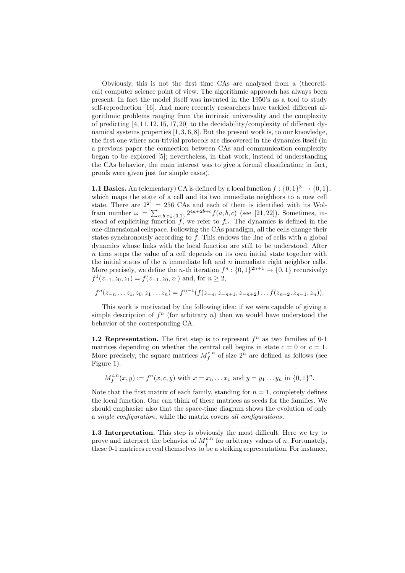Obviously, this is not the first time CAs are analyzed from a (theoretical) computer science point of view. The algorithmic approach has always been present. In fact the model itself was invented in the 1950's as a tool to study self-reproduction [16]. And more recently researchers have tackled different algorithmic problems ranging from the intrinsic universality and the complexity of predicting  $[4, 11, 12, 15, 17, 20]$  to the decidability/complexity of different dynamical systems properties [1, 3, 6, 8]. But the present work is, to our knowledge, the first one where non-trivial protocols are discovered in the dynamics itself (in a previous paper the connection between CAs and communication complexity began to be explored [5]; nevertheless, in that work, instead of understanding the CAs behavior, the main interest was to give a formal classification; in fact, proofs were given just for simple cases).

**1.1 Basics.** An (elementary) CA is defined by a local function  $f : \{0,1\}^3 \to \{0,1\}$ , which maps the state of a cell and its two immediate neighbors to a new cell state. There are  $2^{2^3} = 256$  CAs and each of them is identified with its Wolfram number  $\omega = \sum_{a,b,c \in \{0,1\}} 2^{4a+2b+c} f(a,b,c)$  (see [21, 22]). Sometimes, instead of expliciting function f, we refer to  $f_{\omega}$ . The dynamics is defined in the one-dimensional cellspace. Following the CAs paradigm, all the cells change their states synchronously according to  $f$ . This endows the line of cells with a global dynamics whose links with the local function are still to be understood. After  $n$  time steps the value of a cell depends on its own initial state together with the initial states of the  $n$  immediate left and  $n$  immediate right neighbor cells. More precisely, we define the *n*-th iteration  $f^n: \{0,1\}^{2n+1} \to \{0,1\}$  recursively:  $f^1(z_{-1}, z_0, z_1) = f(z_{-1}, z_0, z_1)$  and, for  $n \geq 2$ ,

$$
f^{n}(z_{-n}\ldots z_1, z_0, z_1\ldots z_n)=f^{n-1}(f(z_{-n}, z_{-n+1}, z_{-n+2})\ldots f(z_{n-2}, z_{n-1}, z_n)).
$$

This work is motivated by the following idea: if we were capable of giving a simple description of  $f<sup>n</sup>$  (for arbitrary n) then we would have understood the behavior of the corresponding CA.

**1.2 Representation.** The first step is to represent  $f^n$  as two families of 0-1 matrices depending on whether the central cell begins in state  $c = 0$  or  $c = 1$ . More precisely, the square matrices  $M_f^{c,n}$  of size  $2^n$  are defined as follows (see Figure 1).

 $M_f^{c,n}(x,y) := f^n(x, c, y)$  with  $x = x_n \dots x_1$  and  $y = y_1 \dots y_n$  in  $\{0,1\}^n$ .

Note that the first matrix of each family, standing for  $n = 1$ , completely defines the local function. One can think of these matrices as seeds for the families. We should emphasize also that the space-time diagram shows the evolution of only a single configuration, while the matrix covers all configurations.

1.3 Interpretation. This step is obviously the most difficult. Here we try to prove and interpret the behavior of  $M_f^{c,n}$  for arbitrary values of n. Fortunately, these 0-1 matrices reveal themselves to be a striking representation. For instance,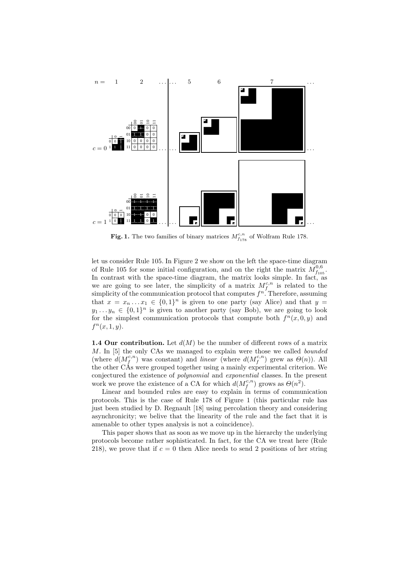

**Fig. 1.** The two families of binary matrices  $M_{f_{178}}^{c,n}$  of Wolfram Rule 178.

let us consider Rule 105. In Figure 2 we show on the left the space-time diagram of Rule 105 for some initial configuration, and on the right the matrix  $\tilde{M}_{f_{105}}^{0,6}$ . In contrast with the space-time diagram, the matrix looks simple. In fact, as we are going to see later, the simplicity of a matrix  $M_f^{c,n}$  is related to the simplicity of the communication protocol that computes  $f^n$ . Therefore, assuming that  $x = x_n \dots x_1 \in \{0,1\}^n$  is given to one party (say Alice) and that  $y =$  $y_1 \ldots y_n \in \{0,1\}^n$  is given to another party (say Bob), we are going to look for the simplest communication protocols that compute both  $f^{n}(x, 0, y)$  and  $f^{n}(x, 1, y).$ 

**1.4 Our contribution.** Let  $d(M)$  be the number of different rows of a matrix M. In [5] the only CAs we managed to explain were those we called bounded (where  $d(M_f^{c,n})$  was constant) and linear (where  $d(M_f^{c,n})$  grew as  $\Theta(n)$ ). All the other CAs were grouped together using a mainly experimental criterion. We conjectured the existence of polynomial and exponential classes. In the present work we prove the existence of a CA for which  $d(M_f^{c,n})$  grows as  $\Theta(n^2)$ .

Linear and bounded rules are easy to explain in terms of communication protocols. This is the case of Rule 178 of Figure 1 (this particular rule has just been studied by D. Regnault [18] using percolation theory and considering asynchronicity; we belive that the linearity of the rule and the fact that it is amenable to other types analysis is not a coincidence).

This paper shows that as soon as we move up in the hierarchy the underlying protocols become rather sophisticated. In fact, for the CA we treat here (Rule 218), we prove that if  $c = 0$  then Alice needs to send 2 positions of her string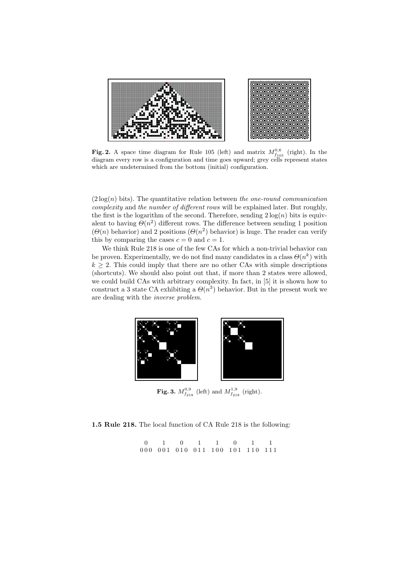

Fig. 2. A space time diagram for Rule 105 (left) and matrix  $M_{f_{105}}^{0,6}$  (right). In the diagram every row is a configuration and time goes upward; grey cells represent states which are undetermined from the bottom (initial) configuration.

 $(2 \log(n)$  bits). The quantitative relation between the one-round communication complexity and the number of different rows will be explained later. But roughly, the first is the logarithm of the second. Therefore, sending  $2 \log(n)$  bits is equivalent to having  $\Theta(n^2)$  different rows. The difference between sending 1 position  $(\Theta(n)$  behavior) and 2 positions  $(\Theta(n^2)$  behavior) is huge. The reader can verify this by comparing the cases  $c = 0$  and  $c = 1$ .

We think Rule 218 is one of the few CAs for which a non-trivial behavior can be proven. Experimentally, we do not find many candidates in a class  $\Theta(n^k)$  with  $k \geq 2$ . This could imply that there are no other CAs with simple descriptions (shortcuts). We should also point out that, if more than 2 states were allowed, we could build CAs with arbitrary complexity. In fact, in [5] it is shown how to construct a 3 state CA exhibiting a  $\Theta(n^3)$  behavior. But in the present work we are dealing with the inverse problem.



**Fig. 3.**  $M_{f_{218}}^{0,9}$  (left) and  $M_{f_{218}}^{1,9}$  (right).

# 1.5 Rule 218. The local function of CA Rule 218 is the following:

0 000 001 010 011 100 101 110 111 1 0 1 1 0 1 1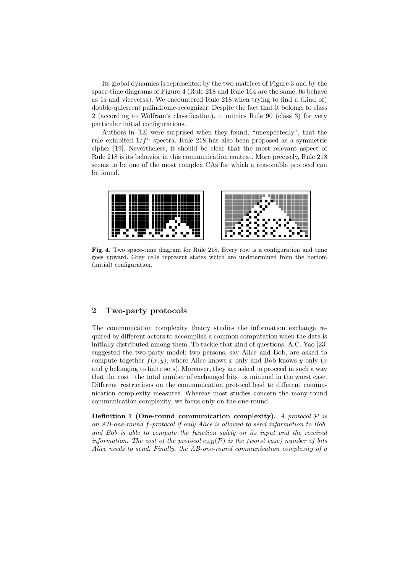Its global dynamics is represented by the two matrices of Figure 3 and by the space-time diagrams of Figure 4 (Rule 218 and Rule 164 are the same; 0s behave as 1s and viceversa). We encountered Rule 218 when trying to find a (kind of) double-quiescent palindrome-recognizer. Despite the fact that it belongs to class 2 (according to Wolfram's classification), it mimics Rule 90 (class 3) for very particular initial configurations.

Authors in [13] were surprised when they found, "unexpectedly", that the rule exhibited  $1/f^{\alpha}$  spectra. Rule 218 has also been proposed as a symmetric cipher [19]. Nevertheless, it should be clear that the most relevant aspect of Rule 218 is its behavior in this communication context. More precisely, Rule 218 seems to be one of the most complex CAs for which a reasonable protocol can be found.



Fig. 4. Two space-time diagram for Rule 218. Every row is a configuration and time goes upward. Grey cells represent states which are undetermined from the bottom (initial) configuration.

# 2 Two-party protocols

The communication complexity theory studies the information exchange required by different actors to accomplish a common computation when the data is initially distributed among them. To tackle that kind of questions, A.C. Yao [23] suggested the two-party model: two persons, say Alice and Bob, are asked to compute together  $f(x, y)$ , where Alice knows x only and Bob knows y only  $(x)$ and  $y$  belonging to finite sets). Moreover, they are asked to proceed in such a way that the cost –the total number of exchanged bits– is minimal in the worst case. Different restrictions on the communication protocol lead to different communication complexity measures. Whereas most studies concern the many-round communication complexity, we focus only on the one-round.

Definition 1 (One-round communication complexity). A protocol  $\mathcal P$  is an AB-one-round f-protocol if only Alice is allowed to send information to Bob, and Bob is able to compute the function solely on its input and the received information. The cost of the protocol  $c_{AB}(\mathcal{P})$  is the (worst case) number of bits Alice needs to send. Finally, the AB-one-round communication complexity of a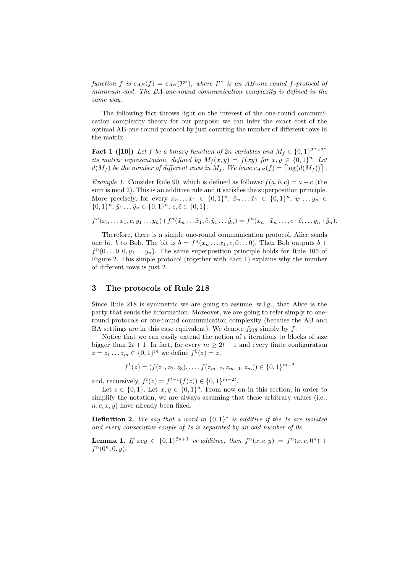function f is  $c_{AB}(f) = c_{AB}(\mathcal{P}^*)$ , where  $\mathcal{P}^*$  is an AB-one-round f-protocol of minimum cost. The BA-one-round communication complexity is defined in the same way.

The following fact throws light on the interest of the one-round communication complexity theory for our purpose: we can infer the exact cost of the optimal AB-one-round protocol by just counting the number of different rows in the matrix.

**Fact 1** ([10]) Let f be a binary function of 2n variables and  $M_f \in \{0,1\}^{2^n \times 2^n}$ its matrix representation, defined by  $M_f(x,y) = f(xy)$  for  $x, y \in \{0,1\}^n$ . Let  $d(M_f)$  be the number of different rows in  $M_f$ . We have  $c_{AB}(f) = \lceil \log(d(M_f)) \rceil$ .

Example 1. Consider Rule 90, which is defined as follows:  $f(a, b, c) = a + c$  (the sum is mod 2). This is an additive rule and it satisfies the superposition principle. More precisely, for every  $x_n \dots x_1 \in \{0,1\}^n$ ,  $\tilde{x}_n \dots \tilde{x}_1 \in \{0,1\}^n$ ,  $y_1 \dots y_n \in$  $\{0,1\}^n$ ,  $\tilde{y}_1 \dots \tilde{y}_n \in \{0,1\}^n$ ,  $c, \tilde{c} \in \{0,1\}$ :

$$
f^{n}(x_{n}\ldots x_{1},c,y_{1}\ldots y_{n})+f^{n}(\tilde{x}_{n}\ldots \tilde{x}_{1},\tilde{c},\tilde{y}_{1}\ldots \tilde{y}_{n})=f^{n}(x_{n}+\tilde{x}_{n}\ldots,c+\tilde{c},\ldots y_{n}+\tilde{y}_{n}).
$$

Therefore, there is a simple one-round communication protocol. Alice sends one bit b to Bob. The bit is  $b = f^{n}(x_{n} \ldots x_{1}, c, 0 \ldots 0)$ . Then Bob outputs  $b +$  $f^{n}(0...0,0,y_1...y_n)$ . The same superposition principle holds for Rule 105 of Figure 2. This simple protocol (together with Fact 1) explains why the number of different rows is just 2.

#### 3 The protocols of Rule 218

Since Rule 218 is symmetric we are going to assume, w.l.g., that Alice is the party that sends the information. Moreover, we are going to refer simply to oneround protocols or one-round communication complexity (because the AB and BA settings are in this case equivalent). We denote  $f_{218}$  simply by f.

Notice that we can easily extend the notion of  $t$  iterations to blocks of size bigger than  $2t + 1$ . In fact, for every  $m \geq 2t + 1$  and every finite configuration  $z = z_1 ... z_m \in \{0, 1\}^m$  we define  $f^0(z) = z$ ,

$$
f^{1}(z) = (f(z_{1}, z_{2}, z_{3}), \dots, f(z_{m-2}, z_{m-1}, z_{m})) \in \{0, 1\}^{m-2}
$$

and, recursively,  $f^t(z) = f^{t-1}(f(z)) \in \{0, 1\}^{m-2t}$ .

Let  $c \in \{0,1\}$ . Let  $x, y \in \{0,1\}^n$ . From now on in this section, in order to simplify the notation, we are always assuming that these arbitrary values (i.e.,  $n, c, x, y$  have already been fixed.

**Definition 2.** We say that a word in  $\{0,1\}^*$  is additive if the 1s are isolated and every consecutive couple of 1s is separated by an odd number of 0s.

**Lemma 1.** If  $xcy \in \{0,1\}^{2n+1}$  is additive, then  $f^{n}(x, c, y) = f^{n}(x, c, 0^{n}) +$  $f^{n}(0^{n},0,y).$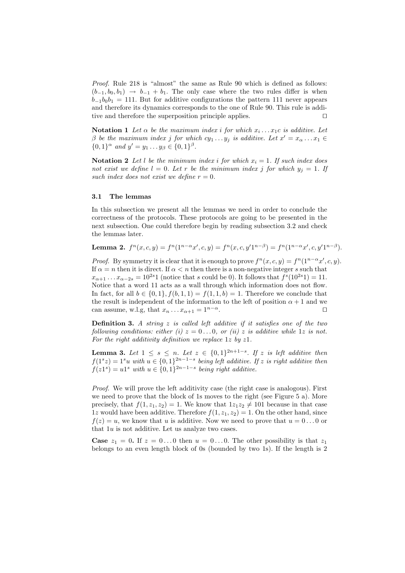Proof. Rule 218 is "almost" the same as Rule 90 which is defined as follows:  $(b_{-1}, b_0, b_1) \rightarrow b_{-1} + b_1$ . The only case where the two rules differ is when  $b_{-1}b_0b_1 = 111$ . But for additive configurations the pattern 111 never appears and therefore its dynamics corresponds to the one of Rule 90. This rule is additive and therefore the superposition principle applies. ⊓⊔

**Notation 1** Let  $\alpha$  be the maximum index i for which  $x_i \dots x_1$  is additive. Let  $\beta$  be the maximum index j for which  $cy_1 \dots y_j$  is additive. Let  $x' = x_\alpha \dots x_1 \in$  $\{0,1\}^\alpha$  and  $y' = y_1 \dots y_\beta \in \{0,1\}^\beta$ .

**Notation 2** Let l be the minimum index i for which  $x_i = 1$ . If such index does not exist we define  $l = 0$ . Let r be the minimum index j for which  $y_i = 1$ . If such index does not exist we define  $r = 0$ .

## 3.1 The lemmas

In this subsection we present all the lemmas we need in order to conclude the correctness of the protocols. These protocols are going to be presented in the next subsection. One could therefore begin by reading subsection 3.2 and check the lemmas later.

**Lemma 2.** 
$$
f^n(x, c, y) = f^n(1^{n-\alpha}x', c, y) = f^n(x, c, y'1^{n-\beta}) = f^n(1^{n-\alpha}x', c, y'1^{n-\beta}).
$$

*Proof.* By symmetry it is clear that it is enough to prove  $f^{n}(x, c, y) = f^{n}(1^{n-\alpha}x', c, y)$ . If  $\alpha = n$  then it is direct. If  $\alpha < n$  then there is a non-negative integer s such that  $x_{\alpha+1} \dots x_{\alpha-2s} = 10^{2s}1$  (notice that s could be 0). It follows that  $f^s(10^{2s}1) = 11$ . Notice that a word 11 acts as a wall through which information does not flow. In fact, for all  $b \in \{0,1\}$ ,  $f(b,1,1) = f(1,1,b) = 1$ . Therefore we conclude that the result is independent of the information to the left of position  $\alpha + 1$  and we can assume, w.l.g, that  $x_n \dots x_{\alpha+1} = 1^{n-\alpha}$ . □

**Definition 3.** A string  $z$  is called left additive if it satisfies one of the two following conditions: either (i)  $z = 0...0$ , or (ii) z is additive while 1z is not. For the right additivity definition we replace  $1z$  by  $z1$ .

**Lemma 3.** Let  $1 \leq s \leq n$ . Let  $z \in \{0,1\}^{2n+1-s}$ . If z is left additive then  $f(1<sup>s</sup>z) = 1<sup>s</sup>u$  with  $u \in \{0,1\}^{2n-1-s}$  being left additive. If z is right additive then  $f(z1<sup>s</sup>) = u1<sup>s</sup>$  with  $u \in \{0,1\}^{2n-1-s}$  being right additive.

Proof. We will prove the left additivity case (the right case is analogous). First we need to prove that the block of 1s moves to the right (see Figure 5 a). More precisely, that  $f(1, z_1, z_2) = 1$ . We know that  $1z_1z_2 \neq 101$  because in that case 1z would have been additive. Therefore  $f(1, z_1, z_2) = 1$ . On the other hand, since  $f(z) = u$ , we know that u is additive. Now we need to prove that  $u = 0...0$  or that 1u is not additive. Let us analyze two cases.

**Case**  $z_1 = 0$ . If  $z = 0...0$  then  $u = 0...0$ . The other possibility is that  $z_1$ belongs to an even length block of 0s (bounded by two 1s). If the length is 2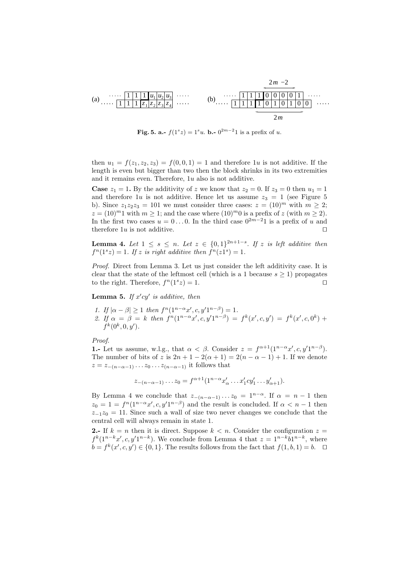

**Fig. 5. a.-**  $f(1^s z) = 1^s u$ . **b.**-  $0^{2m-2}1$  is a prefix of u.

then  $u_1 = f(z_1, z_2, z_3) = f(0, 0, 1) = 1$  and therefore 1u is not additive. If the length is even but bigger than two then the block shrinks in its two extremities and it remains even. Therefore, 1u also is not additive.

**Case**  $z_1 = 1$ . By the additivity of z we know that  $z_2 = 0$ . If  $z_3 = 0$  then  $u_1 = 1$ and therefore 1u is not additive. Hence let us assume  $z_3 = 1$  (see Figure 5) b). Since  $z_1z_2z_3 = 101$  we must consider three cases:  $z = (10)^m$  with  $m \geq 2$ ;  $z = (10)^m 1$  with  $m > 1$ ; and the case where  $(10)^m 0$  is a prefix of z (with  $m > 2$ ). In the first two cases  $u = 0...0$ . In the third case  $0^{2m-2}1$  is a prefix of u and therefore 1u is not additive. □

**Lemma 4.** Let  $1 \leq s \leq n$ . Let  $z \in \{0,1\}^{2n+1-s}$ . If z is left additive then  $f^{n}(1^{s}z) = 1$ . If z is right additive then  $f^{n}(z1^{s}) = 1$ .

Proof. Direct from Lemma 3. Let us just consider the left additivity case. It is clear that the state of the leftmost cell (which is a 1 because  $s \geq 1$ ) propagates to the right. Therefore,  $f^{(1)}(1^{s}z) = 1$ . □

**Lemma 5.** If  $x'cy'$  is additive, then

- 1. If  $|\alpha \beta| \ge 1$  then  $f^{n}(1^{n-\alpha}x', c, y'1^{n-\beta}) = 1$ .
- 2. If  $\alpha = \beta = k$  then  $f^{n}(1^{n-\alpha}x', c, y'1^{n-\beta}) = f^{k}(x', c, y') = f^{k}(x', c, 0^{k}) +$  $f^k(0^k, 0, y').$

Proof.

**1.-** Let us assume, w.l.g., that  $\alpha < \beta$ . Consider  $z = f^{\alpha+1}(1^{n-\alpha}x', c, y'1^{n-\beta})$ . The number of bits of z is  $2n + 1 - 2(\alpha + 1) = 2(n - \alpha - 1) + 1$ . If we denote  $z = z_{-(n-\alpha-1)} \dots z_0 \dots z_{(n-\alpha-1)}$  it follows that

$$
z_{-(n-\alpha-1)} \dots z_0 = f^{\alpha+1} (1^{n-\alpha} x'_{\alpha} \dots x'_1 c y'_1 \dots y'_{\alpha+1}).
$$

By Lemma 4 we conclude that  $z_{-(n-\alpha-1)} \dots z_0 = 1^{n-\alpha}$ . If  $\alpha = n-1$  then  $z_0 = 1 = f^n(1^{n-\alpha}x', c, y'1^{n-\beta})$  and the result is concluded. If  $\alpha < n-1$  then  $z_{-1}z_0 = 11$ . Since such a wall of size two never changes we conclude that the central cell will always remain in state 1.

2.- If  $k = n$  then it is direct. Suppose  $k < n$ . Consider the configuration  $z =$  $f^{k}(1^{n-k}x', c, y'1^{n-k})$ . We conclude from Lemma 4 that  $z = 1^{n-k}b1^{n-k}$ , where  $b = f^k(x', c, y') \in \{0, 1\}.$  The results follows from the fact that  $f(1, b, 1) = b$ . □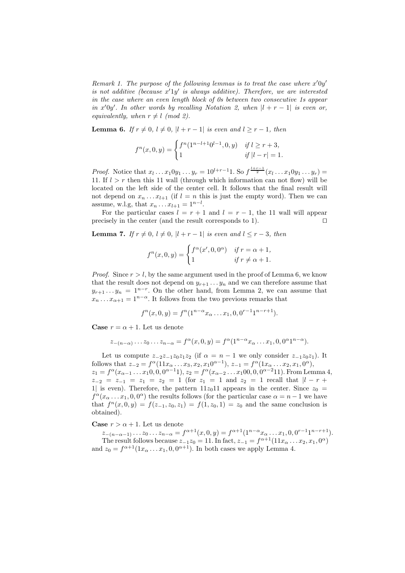Remark 1. The purpose of the following lemmas is to treat the case where  $x'0y'$ is not additive (because  $x'1y'$  is always additive). Therefore, we are interested in the case where an even length block of 0s between two consecutive 1s appear in x'0y'. In other words by recalling Notation 2, when  $|l + r - 1|$  is even or, equivalently, when  $r \neq l \pmod{2}$ .

**Lemma 6.** If  $r \neq 0$ ,  $l \neq 0$ ,  $|l + r - 1|$  is even and  $l \geq r - 1$ , then

$$
f^{n}(x, 0, y) = \begin{cases} f^{n}(1^{n-l+1}0^{l-1}, 0, y) & \text{if } l \ge r+3, \\ 1 & \text{if } |l-r| = 1. \end{cases}
$$

*Proof.* Notice that  $x_l \dots x_1 0 y_1 \dots y_r = 10^{l+r-1}1$ . So  $f^{\frac{l+r-1}{2}}(x_l \dots x_1 0 y_1 \dots y_r) =$ 11. If  $l > r$  then this 11 wall (through which information can not flow) will be located on the left side of the center cell. It follows that the final result will not depend on  $x_n \ldots x_{l+1}$  (if  $l = n$  this is just the empty word). Then we can assume, w.l.g, that  $x_n ... x_{l+1} = 1^{n-l}$ .

For the particular cases  $l = r + 1$  and  $l = r - 1$ , the 11 wall will appear precisely in the center (and the result corresponds to 1). □

**Lemma 7.** If  $r \neq 0, l \neq 0, |l + r - 1|$  is even and  $l \leq r - 3$ , then

$$
f^{n}(x, 0, y) = \begin{cases} f^{\alpha}(x', 0, 0^{\alpha}) & \text{if } r = \alpha + 1, \\ 1 & \text{if } r \neq \alpha + 1. \end{cases}
$$

*Proof.* Since  $r > l$ , by the same argument used in the proof of Lemma 6, we know that the result does not depend on  $y_{r+1} \ldots y_n$  and we can therefore assume that  $y_{r+1} \t ... y_n = 1^{n-r}$ . On the other hand, from Lemma 2, we can assume that  $x_n \dots x_{\alpha+1} = 1^{n-\alpha}$ . It follows from the two previous remarks that

$$
f^{n}(x, 0, y) = f^{n}(1^{n-\alpha}x_{\alpha} \dots x_{1}, 0, 0^{r-1}1^{n-r+1}).
$$

**Case**  $r = \alpha + 1$ . Let us denote

$$
z_{-(n-\alpha)}\dots z_0\dots z_{n-\alpha} = f^{\alpha}(x,0,y) = f^{\alpha}(1^{n-\alpha}x_{\alpha}\dots x_1,0,0^{\alpha}1^{n-\alpha}).
$$

Let us compute  $z_{-2}z_{-1}z_0z_1z_2$  (if  $\alpha = n-1$  we only consider  $z_{-1}z_0z_1$ ). It follows that  $z_{-2} = f^{\alpha}(11x_{\alpha} \dots x_3, x_2, x_1 0^{\alpha-1}), z_{-1} = f^{\alpha}(1x_{\alpha} \dots x_2, x_1, 0^{\alpha}),$  $z_1 = f^{\alpha}(x_{\alpha-1} \ldots x_1 0, 0, 0^{\alpha-1}1), z_2 = f^{\alpha}(x_{\alpha-2} \ldots x_1 00, 0, 0^{\alpha-2}11)$ . From Lemma 4,  $z_{-2} = z_{-1} = z_1 = z_2 = 1$  (for  $z_1 = 1$  and  $z_2 = 1$  recall that  $|l - r +$ 1| is even). Therefore, the pattern  $11z_011$  appears in the center. Since  $z_0 =$  $f^{\alpha}(x_{\alpha} \dots x_1, 0, 0^{\alpha})$  the results follows (for the particular case  $\alpha = n - 1$  we have that  $f^{n}(x, 0, y) = f(z_{-1}, z_{0}, z_{1}) = f(1, z_{0}, 1) = z_{0}$  and the same conclusion is obtained).

**Case**  $r > \alpha + 1$ . Let us denote

 $z_{-(n-\alpha-1)} \dots z_0 \dots z_{n-\alpha} = f^{\alpha+1}(x,0,y) = f^{\alpha+1}(1^{n-\alpha}x_{\alpha} \dots x_1,0,0^{r-1}1^{n-r+1}).$ The result follows because  $z_{-1}z_0 = 11$ . In fact,  $z_{-1} = f^{\alpha+1}(11x_{\alpha} \dots x_2, x_1, 0^{\alpha})$ and  $z_0 = f^{\alpha+1}(1x_{\alpha} \dots x_1, 0, 0^{\alpha+1})$ . In both cases we apply Lemma 4.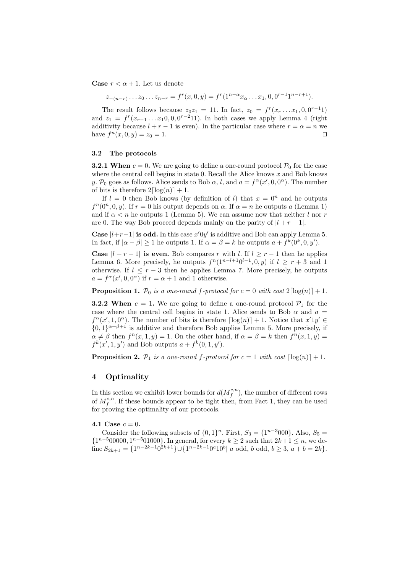**Case**  $r < \alpha + 1$ . Let us denote

 $z_{-(n-r)} \dots z_0 \dots z_{n-r} = f^r(x, 0, y) = f^r(1^{n-\alpha} x_\alpha \dots x_1, 0, 0^{r-1} 1^{n-r+1}).$ 

The result follows because  $z_0z_1 = 11$ . In fact,  $z_0 = f^r(x_r \dots x_1, 0, 0^{r-1}1)$ and  $z_1 = f^r(x_{r-1} \ldots x_1 0, 0, 0^{r-2} 11)$ . In both cases we apply Lemma 4 (right additivity because  $l + r - 1$  is even). In the particular case where  $r = \alpha = n$  we have  $f^{n}(x, 0, y) = z_0 = 1$ .

#### 3.2 The protocols

**3.2.1 When**  $c = 0$ . We are going to define a one-round protocol  $\mathcal{P}_0$  for the case where the central cell begins in state 0. Recall the Alice knows  $x$  and Bob knows y.  $\mathcal{P}_0$  goes as follows. Alice sends to Bob  $\alpha$ , l, and  $a = f^{\alpha}(x', 0, 0^{\alpha})$ . The number of bits is therefore  $2\lceil \log(n) \rceil + 1$ .

If  $l = 0$  then Bob knows (by definition of l) that  $x = 0<sup>n</sup>$  and he outputs  $f^{n}(0^{n}, 0, y)$ . If  $r = 0$  his output depends on  $\alpha$ . If  $\alpha = n$  he outputs a (Lemma 1) and if  $\alpha < n$  he outputs 1 (Lemma 5). We can assume now that neither l nor r are 0. The way Bob proceed depends mainly on the parity of  $|l + r - 1|$ .

Case  $|l+r-1|$  is odd. In this case  $x'0y'$  is additive and Bob can apply Lemma 5. In fact, if  $|\alpha - \beta| \ge 1$  he outputs 1. If  $\alpha = \beta = k$  he outputs  $a + f^k(0^k, 0, y')$ .

**Case**  $|l + r - 1|$  is even. Bob compares r with l. If  $l \geq r - 1$  then he applies Lemma 6. More precisely, he outputs  $f^{n}(1^{n-l+1}0^{l-1},0,y)$  if  $l \geq r+3$  and 1 otherwise. If  $l \leq r-3$  then he applies Lemma 7. More precisely, he outputs  $a = f^{\alpha}(x', 0, 0^{\alpha})$  if  $r = \alpha + 1$  and 1 otherwise.

**Proposition 1.**  $\mathcal{P}_0$  is a one-round f-protocol for  $c = 0$  with cost  $2\lceil \log(n) \rceil + 1$ .

**3.2.2 When**  $c = 1$ . We are going to define a one-round protocol  $\mathcal{P}_1$  for the case where the central cell begins in state 1. Alice sends to Bob  $\alpha$  and  $a =$  $f^{\alpha}(x', 1, 0^{\alpha})$ . The number of bits is therefore  $\lceil \log(n) \rceil + 1$ . Notice that  $x'1y' \in$  $\{0,1\}^{\alpha+\beta+1}$  is additive and therefore Bob applies Lemma 5. More precisely, if  $\alpha \neq \beta$  then  $f^{n}(x, 1, y) = 1$ . On the other hand, if  $\alpha = \beta = k$  then  $f^{n}(x, 1, y) =$  $f^k(x', 1, y')$  and Bob outputs  $a + f^k(0, 1, y')$ .

**Proposition 2.**  $P_1$  is a one-round f-protocol for  $c = 1$  with cost  $\lceil \log(n) \rceil + 1$ .

## 4 Optimality

In this section we exhibit lower bounds for  $d(M_f^{c,n})$ , the number of different rows of  $M_f^{c,n}$ . If these bounds appear to be tight then, from Fact 1, they can be used for proving the optimality of our protocols.

4.1 Case  $c = 0$ .

Consider the following subsets of  $\{0,1\}^n$ . First,  $S_3 = \{1^{n-3}000\}$ . Also,  $S_5 =$  ${1^{n-500000}, 1^{n-501000}}$ . In general, for every  $k \ge 2$  such that  $2k+1 \le n$ , we define  $S_{2k+1} = \{1^{n-2k-1}0^{2k+1}\} \cup \{1^{n-2k-1}0^{a}10^{b} | a \text{ odd}, b \text{ odd}, b \geq 3, a+b=2k\}.$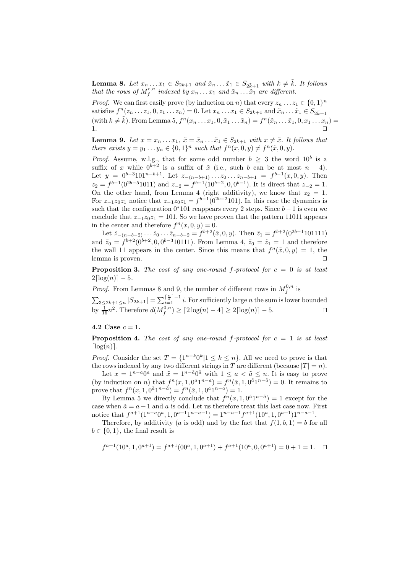**Lemma 8.** Let  $x_n \dots x_1 \in S_{2k+1}$  and  $\tilde{x}_n \dots \tilde{x}_1 \in S_{2k+1}$  with  $k \neq \tilde{k}$ . It follows that the rows of  $M_f^{c,n}$  indexed by  $x_n \ldots x_1$  and  $\tilde{x}_n \ldots \tilde{x}_1$  are different.

*Proof.* We can first easily prove (by induction on n) that every  $z_n \dots z_1 \in \{0,1\}^n$ satisfies  $f^n(z_1, \ldots, z_1, 0, z_1, \ldots, z_n) = 0$ . Let  $x_n \ldots x_1 \in S_{2k+1}$  and  $\tilde{x}_n \ldots \tilde{x}_1 \in S_{2k+1}$ (with  $k \neq \tilde{k}$ ). From Lemma 5,  $f^{n}(x_{n} \ldots x_{1}, 0, \tilde{x}_{1} \ldots \tilde{x}_{n}) = f^{n}(\tilde{x}_{n} \ldots \tilde{x}_{1}, 0, x_{1} \ldots x_{n}) =$ 1. ⊓⊔

**Lemma 9.** Let  $x = x_n \dots x_1$ ,  $\tilde{x} = \tilde{x}_n \dots \tilde{x}_1 \in S_{2k+1}$  with  $x \neq \tilde{x}$ . It follows that there exists  $y = y_1 \dots y_n \in \{0,1\}^n$  such that  $f^n(x,0,y) \neq f^n(\tilde{x},0,y)$ .

*Proof.* Assume, w.l.g., that for some odd number  $b \geq 3$  the word  $10^b$  is a suffix of x while  $0^{b+2}$  is a suffix of  $\tilde{x}$  (i.e., such b can be at most  $n-4$ ). Let  $y = 0^{b-3} 1 0 1^{n-b+1}$ . Let  $z_{-(n-b+1)} \ldots z_0 \ldots z_{n-b+1} = f^{b-1}(x, 0, y)$ . Then  $z_2 = f^{b-1}(0^{2b-5}1011)$  and  $z_{-2} = f^{b-1}(10^{b-2}, 0, 0^{b-1})$ . It is direct that  $z_{-2} = 1$ . On the other hand, from Lemma 4 (right additivity), we know that  $z_2 = 1$ . For  $z_{-1}z_0z_1$  notice that  $z_{-1}z_0z_1 = f^{b-1}(0^{2b-2}101)$ . In this case the dynamics is such that the configuration  $0*101$  reappears every 2 steps. Since  $b-1$  is even we conclude that  $z_{-1}z_0z_1 = 101$ . So we have proven that the pattern 11011 appears in the center and therefore  $f^{n}(x, 0, y) = 0$ .

Let  $\tilde{z}_{-(n-b-2)} \dots \tilde{z}_0 \dots \tilde{z}_{n-b-2} = f^{b+2}(\tilde{x},0,y)$ . Then  $\tilde{z}_1 = f^{b+2}(0^{2b-1}101111)$ and  $\tilde{z}_0 = f^{b+2}(0^{b+2}, 0, 0^{b-3}10111)$ . From Lemma 4,  $\tilde{z}_0 = \tilde{z}_1 = 1$  and therefore the wall 11 appears in the center. Since this means that  $f^{n}(\tilde{x},0,y) = 1$ , the lemma is proven. □

**Proposition 3.** The cost of any one-round f-protocol for  $c = 0$  is at least  $2\lceil log(n) \rceil - 5.$ 

*Proof.* From Lemmas 8 and 9, the number of different rows in  $M_f^{0,n}$  is  $\sum_{3\leq 2k+1\leq n}|S_{2k+1}|=\sum_{i=1}^{\lceil\frac{n}{2}\rceil-1}i.$  For sufficiently large n the sum is lower bounded by  $\frac{1}{16}n^2$ . Therefore  $d(M_f^{0,n}) \geq \lceil 2\log(n) - 4\rceil \geq 2\lceil \log(n) \rceil - 5$ .

#### 4.2 Case  $c = 1$ .

**Proposition 4.** The cost of any one-round f-protocol for  $c = 1$  is at least  $\lceil \log(n) \rceil$ .

*Proof.* Consider the set  $T = \{1^{n-k}0^k | 1 \leq k \leq n\}$ . All we need to prove is that the rows indexed by any two different strings in T are different (because  $|T| = n$ ).

Let  $x = 1^{n-a}0^a$  and  $\tilde{x} = 1^{n-\tilde{a}}0^{\tilde{a}}$  with  $1 \leq a < \tilde{a} \leq n$ . It is easy to prove (by induction on *n*) that  $f^{n}(x, 1, 0^{a}1^{n-a}) = f^{n}(\tilde{x}, 1, 0^{\tilde{a}}1^{n-\tilde{a}}) = 0$ . It remains to prove that  $f^{n}(x, 1, 0^{\tilde{a}}1^{n-\tilde{a}}) = f^{n}(\tilde{x}, 1, 0^{a}1^{n-a}) = 1.$ 

By Lemma 5 we directly conclude that  $f^{n}(x, 1, 0^{\tilde{a}}1^{n-\tilde{a}}) = 1$  except for the case when  $\tilde{a} = a + 1$  and a is odd. Let us therefore treat this last case now. First notice that  $f^{a+1}(1^{n-a}0^a, 1, 0^{a+1}1^{n-a-1}) = 1^{n-a-1}f^{a+1}(10^a, 1, 0^{a+1})1^{n-a-1}$ .

Therefore, by additivity (a is odd) and by the fact that  $f(1, b, 1) = b$  for all  $b \in \{0, 1\}$ , the final result is

$$
f^{a+1}(10^a, 1, 0^{a+1}) = f^{a+1}(00^a, 1, 0^{a+1}) + f^{a+1}(10^a, 0, 0^{a+1}) = 0 + 1 = 1. \quad \Box
$$